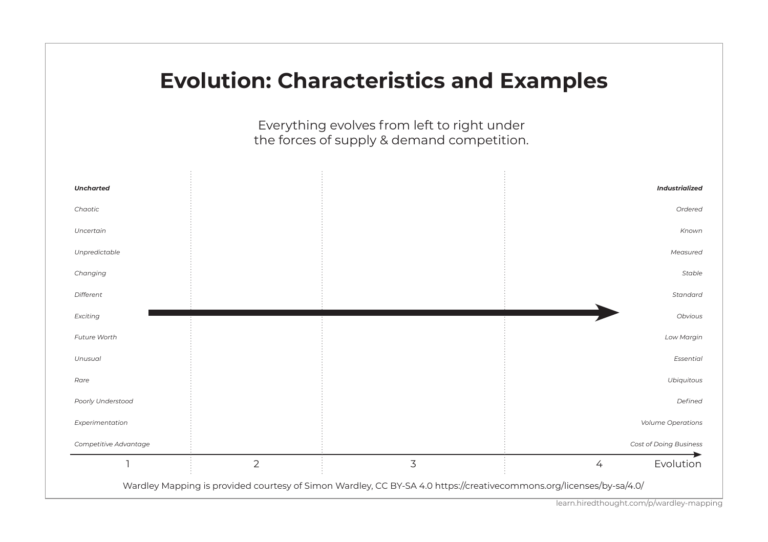## **Evolution: Characteristics and Examples**

Everything evolves from left to right under the forces of supply & demand competition.



learn.hiredthought.com/p/wardley-mapping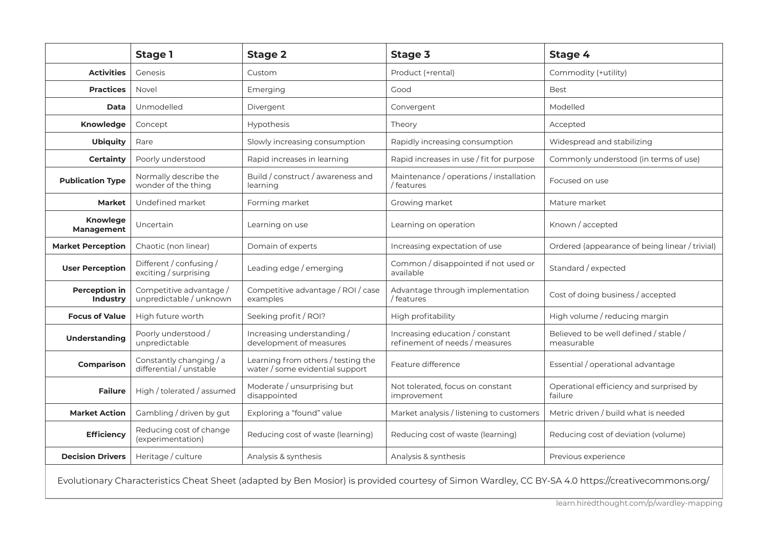|                                                  | Stage 1                                            | Stage 2                                                               | Stage 3                                                           | Stage 4                                              |  |
|--------------------------------------------------|----------------------------------------------------|-----------------------------------------------------------------------|-------------------------------------------------------------------|------------------------------------------------------|--|
| <b>Activities</b>                                | Genesis<br>Custom                                  |                                                                       | Product (+rental)                                                 | Commodity (+utility)                                 |  |
| <b>Practices</b><br>Novel<br>Emerging            |                                                    |                                                                       | Good                                                              | Best                                                 |  |
| Data                                             | Unmodelled                                         | Divergent                                                             | Convergent                                                        | Modelled                                             |  |
| Knowledge                                        | Concept                                            | Hypothesis<br>Theory                                                  |                                                                   | Accepted                                             |  |
| <b>Ubiquity</b>                                  | Rare                                               | Slowly increasing consumption                                         | Rapidly increasing consumption                                    | Widespread and stabilizing                           |  |
| Certainty                                        | Poorly understood                                  | Rapid increases in learning                                           | Rapid increases in use / fit for purpose                          | Commonly understood (in terms of use)                |  |
| <b>Publication Type</b>                          | Normally describe the<br>wonder of the thing       | Build / construct / awareness and<br>learning                         | Maintenance / operations / installation<br>/ features             | Focused on use                                       |  |
| Market                                           | Undefined market                                   | Forming market                                                        | Growing market                                                    | Mature market                                        |  |
| Knowlege<br>Management                           | Uncertain                                          | Learning on use                                                       | Learning on operation                                             | Known / accepted                                     |  |
| <b>Market Perception</b>                         | Chaotic (non linear)                               | Domain of experts                                                     | Increasing expectation of use                                     | Ordered (appearance of being linear / trivial)       |  |
| <b>User Perception</b>                           | Different / confusing /<br>exciting / surprising   | Leading edge / emerging                                               | Common / disappointed if not used or<br>available                 | Standard / expected                                  |  |
| Perception in<br>Industry                        | Competitive advantage /<br>unpredictable / unknown | Competitive advantage / ROI / case<br>examples                        | Advantage through implementation<br>/ features                    | Cost of doing business / accepted                    |  |
| <b>Focus of Value</b>                            | High future worth                                  | Seeking profit / ROI?                                                 | High profitability                                                | High volume / reducing margin                        |  |
| Understanding                                    | Poorly understood /<br>unpredictable               | Increasing understanding /<br>development of measures                 | Increasing education / constant<br>refinement of needs / measures | Believed to be well defined / stable /<br>measurable |  |
| Comparison                                       | Constantly changing / a<br>differential / unstable | Learning from others / testing the<br>water / some evidential support | Feature difference                                                | Essential / operational advantage                    |  |
| <b>Failure</b>                                   | High / tolerated / assumed                         | Moderate / unsurprising but<br>disappointed                           | Not tolerated, focus on constant<br>improvement                   | Operational efficiency and surprised by<br>failure   |  |
| Gambling / driven by gut<br><b>Market Action</b> |                                                    | Exploring a "found" value                                             | Market analysis / listening to customers                          | Metric driven / build what is needed                 |  |
| <b>Efficiency</b>                                | Reducing cost of change<br>(experimentation)       | Reducing cost of waste (learning)                                     | Reducing cost of waste (learning)                                 | Reducing cost of deviation (volume)                  |  |
| <b>Decision Drivers</b>                          | Heritage / culture                                 | Analysis & synthesis                                                  | Analysis & synthesis                                              | Previous experience                                  |  |
|                                                  |                                                    |                                                                       |                                                                   |                                                      |  |

Evolutionary Characteristics Cheat Sheet (adapted by Ben Mosior) is provided courtesy of Simon Wardley, CC BY-SA 4.0 https://creativecommons.org/